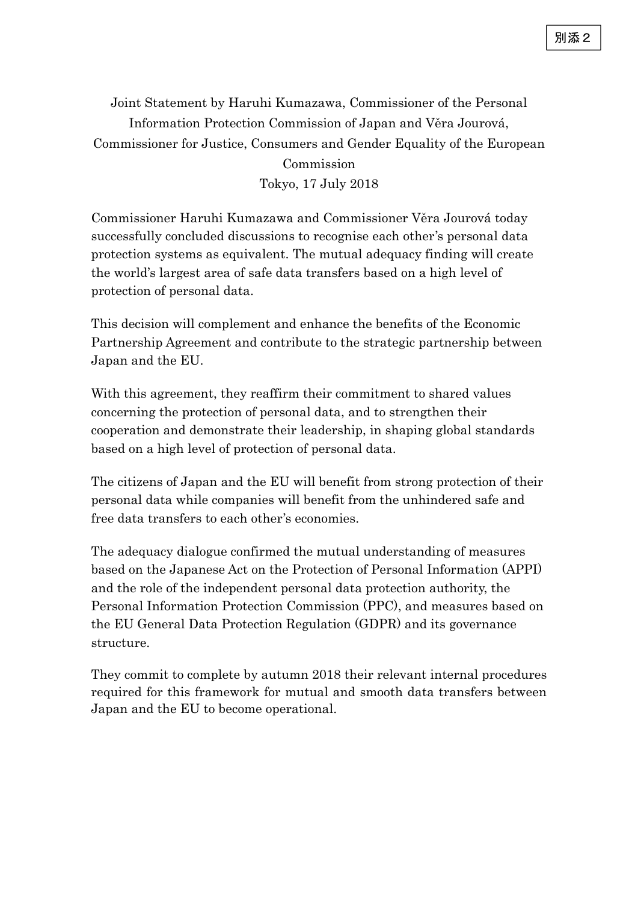Joint Statement by Haruhi Kumazawa, Commissioner of the Personal Information Protection Commission of Japan and Věra Jourová, Commissioner for Justice, Consumers and Gender Equality of the European Commission

Tokyo, 17 July 2018

Commissioner Haruhi Kumazawa and Commissioner Věra Jourová today successfully concluded discussions to recognise each other's personal data protection systems as equivalent. The mutual adequacy finding will create the world's largest area of safe data transfers based on a high level of protection of personal data.

This decision will complement and enhance the benefits of the Economic Partnership Agreement and contribute to the strategic partnership between Japan and the EU.

With this agreement, they reaffirm their commitment to shared values concerning the protection of personal data, and to strengthen their cooperation and demonstrate their leadership, in shaping global standards based on a high level of protection of personal data.

The citizens of Japan and the EU will benefit from strong protection of their personal data while companies will benefit from the unhindered safe and free data transfers to each other's economies.

The adequacy dialogue confirmed the mutual understanding of measures based on the Japanese Act on the Protection of Personal Information (APPI) and the role of the independent personal data protection authority, the Personal Information Protection Commission (PPC), and measures based on the EU General Data Protection Regulation (GDPR) and its governance structure.

They commit to complete by autumn 2018 their relevant internal procedures required for this framework for mutual and smooth data transfers between Japan and the EU to become operational.